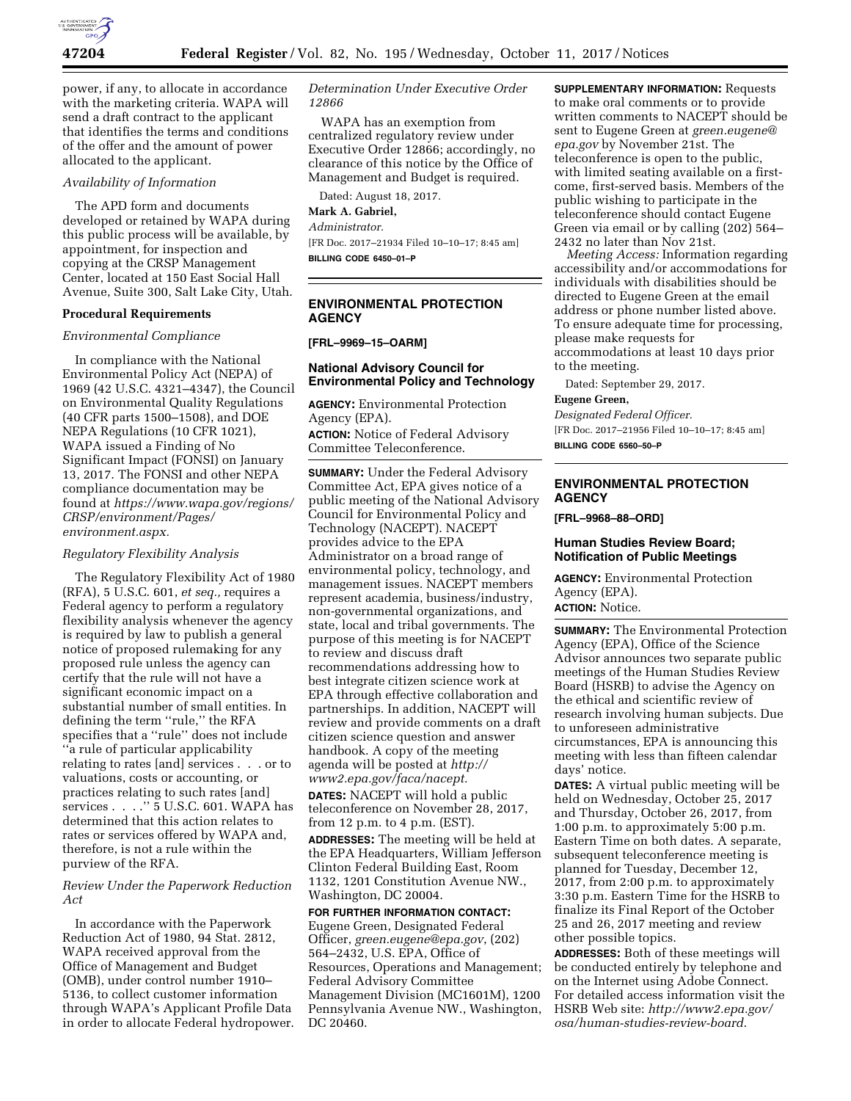

power, if any, to allocate in accordance with the marketing criteria. WAPA will send a draft contract to the applicant that identifies the terms and conditions of the offer and the amount of power allocated to the applicant.

## *Availability of Information*

The APD form and documents developed or retained by WAPA during this public process will be available, by appointment, for inspection and copying at the CRSP Management Center, located at 150 East Social Hall Avenue, Suite 300, Salt Lake City, Utah.

#### **Procedural Requirements**

#### *Environmental Compliance*

In compliance with the National Environmental Policy Act (NEPA) of 1969 (42 U.S.C. 4321–4347), the Council on Environmental Quality Regulations (40 CFR parts 1500–1508), and DOE NEPA Regulations (10 CFR 1021), WAPA issued a Finding of No Significant Impact (FONSI) on January 13, 2017. The FONSI and other NEPA compliance documentation may be found at *[https://www.wapa.gov/regions/](https://www.wapa.gov/regions/CRSP/environment/Pages/environment.aspx)  [CRSP/environment/Pages/](https://www.wapa.gov/regions/CRSP/environment/Pages/environment.aspx)  [environment.aspx.](https://www.wapa.gov/regions/CRSP/environment/Pages/environment.aspx)* 

## *Regulatory Flexibility Analysis*

The Regulatory Flexibility Act of 1980 (RFA), 5 U.S.C. 601, *et seq.,* requires a Federal agency to perform a regulatory flexibility analysis whenever the agency is required by law to publish a general notice of proposed rulemaking for any proposed rule unless the agency can certify that the rule will not have a significant economic impact on a substantial number of small entities. In defining the term ''rule,'' the RFA specifies that a ''rule'' does not include ''a rule of particular applicability relating to rates [and] services . . . or to valuations, costs or accounting, or practices relating to such rates [and] services . . . .'' 5 U.S.C. 601. WAPA has determined that this action relates to rates or services offered by WAPA and, therefore, is not a rule within the purview of the RFA.

*Review Under the Paperwork Reduction Act* 

In accordance with the Paperwork Reduction Act of 1980, 94 Stat. 2812, WAPA received approval from the Office of Management and Budget (OMB), under control number 1910– 5136, to collect customer information through WAPA's Applicant Profile Data in order to allocate Federal hydropower.

## *Determination Under Executive Order 12866*

WAPA has an exemption from centralized regulatory review under Executive Order 12866; accordingly, no clearance of this notice by the Office of Management and Budget is required.

Dated: August 18, 2017.

# **Mark A. Gabriel,**

*Administrator.* 

[FR Doc. 2017–21934 Filed 10–10–17; 8:45 am] **BILLING CODE 6450–01–P** 

**ENVIRONMENTAL PROTECTION AGENCY** 

## **[FRL–9969–15–OARM]**

# **National Advisory Council for Environmental Policy and Technology**

**AGENCY:** Environmental Protection Agency (EPA). **ACTION:** Notice of Federal Advisory Committee Teleconference.

**SUMMARY:** Under the Federal Advisory Committee Act, EPA gives notice of a public meeting of the National Advisory Council for Environmental Policy and Technology (NACEPT). NACEPT provides advice to the EPA Administrator on a broad range of environmental policy, technology, and management issues. NACEPT members represent academia, business/industry, non-governmental organizations, and state, local and tribal governments. The purpose of this meeting is for NACEPT to review and discuss draft recommendations addressing how to best integrate citizen science work at EPA through effective collaboration and partnerships. In addition, NACEPT will review and provide comments on a draft citizen science question and answer handbook. A copy of the meeting agenda will be posted at *[http://](http://www2.epa.gov/faca/nacept) [www2.epa.gov/faca/nacept.](http://www2.epa.gov/faca/nacept)* 

**DATES:** NACEPT will hold a public teleconference on November 28, 2017, from 12 p.m. to 4 p.m. (EST).

**ADDRESSES:** The meeting will be held at the EPA Headquarters, William Jefferson Clinton Federal Building East, Room 1132, 1201 Constitution Avenue NW., Washington, DC 20004.

# **FOR FURTHER INFORMATION CONTACT:**  Eugene Green, Designated Federal Officer, *[green.eugene@epa.gov](mailto:green.eugene@epa.gov)*, (202) 564–2432, U.S. EPA, Office of Resources, Operations and Management; Federal Advisory Committee Management Division (MC1601M), 1200 Pennsylvania Avenue NW., Washington, DC 20460.

**SUPPLEMENTARY INFORMATION:** Requests to make oral comments or to provide written comments to NACEPT should be sent to Eugene Green at *[green.eugene@](mailto:green.eugene@epa.gov) [epa.gov](mailto:green.eugene@epa.gov)* by November 21st. The teleconference is open to the public, with limited seating available on a firstcome, first-served basis. Members of the public wishing to participate in the teleconference should contact Eugene Green via email or by calling (202) 564– 2432 no later than Nov 21st.

*Meeting Access:* Information regarding accessibility and/or accommodations for individuals with disabilities should be directed to Eugene Green at the email address or phone number listed above. To ensure adequate time for processing, please make requests for accommodations at least 10 days prior to the meeting.

Dated: September 29, 2017.

#### **Eugene Green,**

*Designated Federal Officer.*  [FR Doc. 2017–21956 Filed 10–10–17; 8:45 am] **BILLING CODE 6560–50–P** 

# **ENVIRONMENTAL PROTECTION AGENCY**

**[FRL–9968–88–ORD]** 

# **Human Studies Review Board; Notification of Public Meetings**

**AGENCY:** Environmental Protection Agency (EPA).

# **ACTION:** Notice.

**SUMMARY:** The Environmental Protection Agency (EPA), Office of the Science Advisor announces two separate public meetings of the Human Studies Review Board (HSRB) to advise the Agency on the ethical and scientific review of research involving human subjects. Due to unforeseen administrative circumstances, EPA is announcing this meeting with less than fifteen calendar days' notice.

**DATES:** A virtual public meeting will be held on Wednesday, October 25, 2017 and Thursday, October 26, 2017, from 1:00 p.m. to approximately 5:00 p.m. Eastern Time on both dates. A separate, subsequent teleconference meeting is planned for Tuesday, December 12, 2017, from 2:00 p.m. to approximately 3:30 p.m. Eastern Time for the HSRB to finalize its Final Report of the October 25 and 26, 2017 meeting and review other possible topics.

**ADDRESSES:** Both of these meetings will be conducted entirely by telephone and on the Internet using Adobe Connect. For detailed access information visit the HSRB Web site: *[http://www2.epa.gov/](http://www2.epa.gov/osa/human-studies-review-board) [osa/human-studies-review-board](http://www2.epa.gov/osa/human-studies-review-board)*.